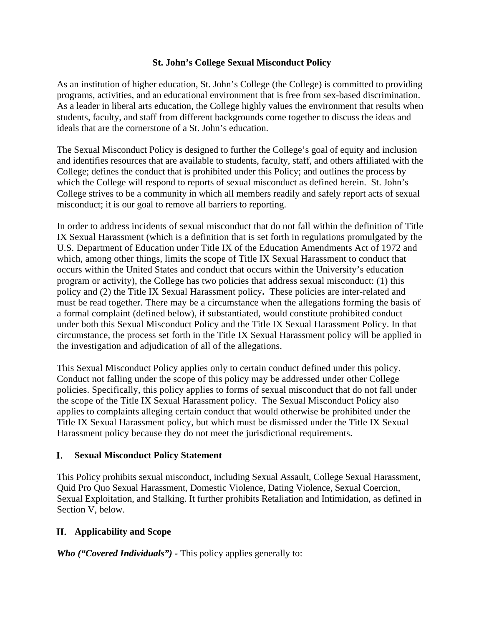### **St. John's College Sexual Misconduct Policy**

As an institution of higher education, St. John's College (the College) is committed to providing programs, activities, and an educational environment that is free from sex-based discrimination. As a leader in liberal arts education, the College highly values the environment that results when students, faculty, and staff from different backgrounds come together to discuss the ideas and ideals that are the cornerstone of a St. John's education.

The Sexual Misconduct Policy is designed to further the College's goal of equity and inclusion and identifies resources that are available to students, faculty, staff, and others affiliated with the College; defines the conduct that is prohibited under this Policy; and outlines the process by which the College will respond to reports of sexual misconduct as defined herein. St. John's College strives to be a community in which all members readily and safely report acts of sexual misconduct; it is our goal to remove all barriers to reporting.

In order to address incidents of sexual misconduct that do not fall within the definition of Title IX Sexual Harassment (which is a definition that is set forth in regulations promulgated by the U.S. Department of Education under Title IX of the Education Amendments Act of 1972 and which, among other things, limits the scope of Title IX Sexual Harassment to conduct that occurs within the United States and conduct that occurs within the University's education program or activity), the College has two policies that address sexual misconduct: (1) this policy and (2) the Title IX Sexual Harassment policy**.** These policies are inter-related and must be read together. There may be a circumstance when the allegations forming the basis of a formal complaint (defined below), if substantiated, would constitute prohibited conduct under both this Sexual Misconduct Policy and the Title IX Sexual Harassment Policy. In that circumstance, the process set forth in the Title IX Sexual Harassment policy will be applied in the investigation and adjudication of all of the allegations.

This Sexual Misconduct Policy applies only to certain conduct defined under this policy. Conduct not falling under the scope of this policy may be addressed under other College policies. Specifically, this policy applies to forms of sexual misconduct that do not fall under the scope of the Title IX Sexual Harassment policy. The Sexual Misconduct Policy also applies to complaints alleging certain conduct that would otherwise be prohibited under the Title IX Sexual Harassment policy, but which must be dismissed under the Title IX Sexual Harassment policy because they do not meet the jurisdictional requirements.

#### L. **Sexual Misconduct Policy Statement**

This Policy prohibits sexual misconduct, including Sexual Assault, College Sexual Harassment, Quid Pro Quo Sexual Harassment, Domestic Violence, Dating Violence, Sexual Coercion, Sexual Exploitation, and Stalking. It further prohibits Retaliation and Intimidation, as defined in Section V, below.

### **Applicability and Scope**

*Who ("Covered Individuals") -* This policy applies generally to: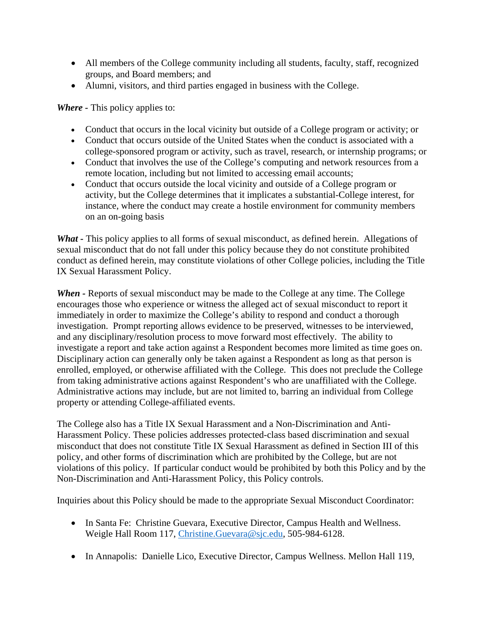- All members of the College community including all students, faculty, staff, recognized groups, and Board members; and
- Alumni, visitors, and third parties engaged in business with the College.

*Where -* This policy applies to:

- Conduct that occurs in the local vicinity but outside of a College program or activity; or
- Conduct that occurs outside of the United States when the conduct is associated with a college-sponsored program or activity, such as travel, research, or internship programs; or
- Conduct that involves the use of the College's computing and network resources from a remote location, including but not limited to accessing email accounts;
- Conduct that occurs outside the local vicinity and outside of a College program or activity, but the College determines that it implicates a substantial-College interest, for instance, where the conduct may create a hostile environment for community members on an on-going basis

What - This policy applies to all forms of sexual misconduct, as defined herein. Allegations of sexual misconduct that do not fall under this policy because they do not constitute prohibited conduct as defined herein, may constitute violations of other College policies, including the Title IX Sexual Harassment Policy.

*When* - Reports of sexual misconduct may be made to the College at any time. The College encourages those who experience or witness the alleged act of sexual misconduct to report it immediately in order to maximize the College's ability to respond and conduct a thorough investigation. Prompt reporting allows evidence to be preserved, witnesses to be interviewed, and any disciplinary/resolution process to move forward most effectively. The ability to investigate a report and take action against a Respondent becomes more limited as time goes on. Disciplinary action can generally only be taken against a Respondent as long as that person is enrolled, employed, or otherwise affiliated with the College. This does not preclude the College from taking administrative actions against Respondent's who are unaffiliated with the College. Administrative actions may include, but are not limited to, barring an individual from College property or attending College-affiliated events.

The College also has a Title IX Sexual Harassment and a Non-Discrimination and Anti-Harassment Policy. These policies addresses protected-class based discrimination and sexual misconduct that does not constitute Title IX Sexual Harassment as defined in Section III of this policy, and other forms of discrimination which are prohibited by the College, but are not violations of this policy. If particular conduct would be prohibited by both this Policy and by the Non-Discrimination and Anti-Harassment Policy, this Policy controls.

Inquiries about this Policy should be made to the appropriate Sexual Misconduct Coordinator:

- In Santa Fe: Christine Guevara, Executive Director, Campus Health and Wellness. Weigle Hall Room 117, [Christine.Guevara@sjc.edu,](mailto:Christine.Guevara@sjc.edu) 505-984-6128.
- In Annapolis: Danielle Lico, Executive Director, Campus Wellness. Mellon Hall 119,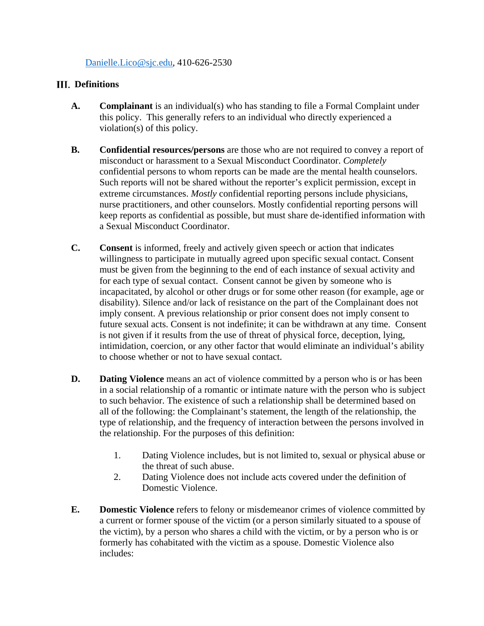### [Danielle.Lico@sjc.edu,](mailto:Danielle.Lico@sjc.edu) 410-626-2530

### **III.** Definitions

- **A. Complainant** is an individual(s) who has standing to file a Formal Complaint under this policy. This generally refers to an individual who directly experienced a violation(s) of this policy.
- **B. Confidential resources/persons** are those who are not required to convey a report of misconduct or harassment to a Sexual Misconduct Coordinator. *Completely*  confidential persons to whom reports can be made are the mental health counselors. Such reports will not be shared without the reporter's explicit permission, except in extreme circumstances. *Mostly* confidential reporting persons include physicians, nurse practitioners, and other counselors. Mostly confidential reporting persons will keep reports as confidential as possible, but must share de-identified information with a Sexual Misconduct Coordinator.
- **C. Consent** is informed, freely and actively given speech or action that indicates willingness to participate in mutually agreed upon specific sexual contact. Consent must be given from the beginning to the end of each instance of sexual activity and for each type of sexual contact. Consent cannot be given by someone who is incapacitated, by alcohol or other drugs or for some other reason (for example, age or disability). Silence and/or lack of resistance on the part of the Complainant does not imply consent. A previous relationship or prior consent does not imply consent to future sexual acts. Consent is not indefinite; it can be withdrawn at any time. Consent is not given if it results from the use of threat of physical force, deception, lying, intimidation, coercion, or any other factor that would eliminate an individual's ability to choose whether or not to have sexual contact.
- **D. Dating Violence** means an act of violence committed by a person who is or has been in a social relationship of a romantic or intimate nature with the person who is subject to such behavior. The existence of such a relationship shall be determined based on all of the following: the Complainant's statement, the length of the relationship, the type of relationship, and the frequency of interaction between the persons involved in the relationship. For the purposes of this definition:
	- 1. Dating Violence includes, but is not limited to, sexual or physical abuse or the threat of such abuse.
	- 2. Dating Violence does not include acts covered under the definition of Domestic Violence.
- **E. Domestic Violence** refers to felony or misdemeanor crimes of violence committed by a current or former spouse of the victim (or a person similarly situated to a spouse of the victim), by a person who shares a child with the victim, or by a person who is or formerly has cohabitated with the victim as a spouse. Domestic Violence also includes: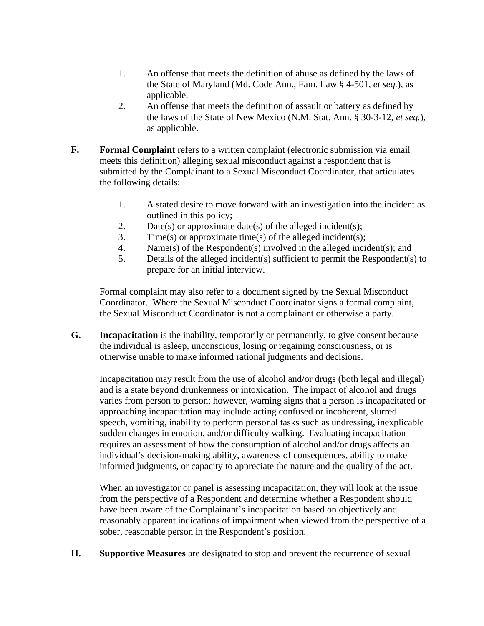- 1. An offense that meets the definition of abuse as defined by the laws of the State of Maryland (Md. Code Ann., Fam. Law § 4-501, *et seq.*), as applicable.
- 2. An offense that meets the definition of assault or battery as defined by the laws of the State of New Mexico (N.M. Stat. Ann. § 30-3-12, *et seq.*), as applicable.
- **F. Formal Complaint** refers to a written complaint (electronic submission via email meets this definition) alleging sexual misconduct against a respondent that is submitted by the Complainant to a Sexual Misconduct Coordinator, that articulates the following details:
	- 1. A stated desire to move forward with an investigation into the incident as outlined in this policy;
	- 2. Date(s) or approximate date(s) of the alleged incident(s);
	- 3. Time(s) or approximate time(s) of the alleged incident(s);
	- 4. Name(s) of the Respondent(s) involved in the alleged incident(s); and
	- 5. Details of the alleged incident(s) sufficient to permit the Respondent(s) to prepare for an initial interview.

Formal complaint may also refer to a document signed by the Sexual Misconduct Coordinator. Where the Sexual Misconduct Coordinator signs a formal complaint, the Sexual Misconduct Coordinator is not a complainant or otherwise a party.

**G. Incapacitation** is the inability, temporarily or permanently, to give consent because the individual is asleep, unconscious, losing or regaining consciousness, or is otherwise unable to make informed rational judgments and decisions.

Incapacitation may result from the use of alcohol and/or drugs (both legal and illegal) and is a state beyond drunkenness or intoxication. The impact of alcohol and drugs varies from person to person; however, warning signs that a person is incapacitated or approaching incapacitation may include acting confused or incoherent, slurred speech, vomiting, inability to perform personal tasks such as undressing, inexplicable sudden changes in emotion, and/or difficulty walking. Evaluating incapacitation requires an assessment of how the consumption of alcohol and/or drugs affects an individual's decision-making ability, awareness of consequences, ability to make informed judgments, or capacity to appreciate the nature and the quality of the act.

When an investigator or panel is assessing incapacitation, they will look at the issue from the perspective of a Respondent and determine whether a Respondent should have been aware of the Complainant's incapacitation based on objectively and reasonably apparent indications of impairment when viewed from the perspective of a sober, reasonable person in the Respondent's position.

**H. Supportive Measures** are designated to stop and prevent the recurrence of sexual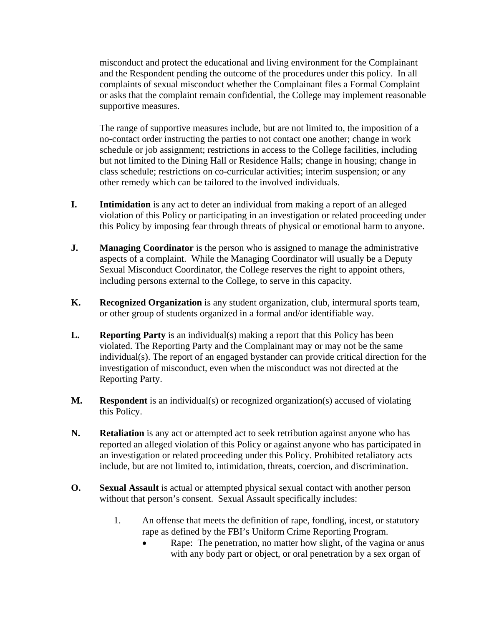misconduct and protect the educational and living environment for the Complainant and the Respondent pending the outcome of the procedures under this policy. In all complaints of sexual misconduct whether the Complainant files a Formal Complaint or asks that the complaint remain confidential, the College may implement reasonable supportive measures.

The range of supportive measures include, but are not limited to, the imposition of a no-contact order instructing the parties to not contact one another; change in work schedule or job assignment; restrictions in access to the College facilities, including but not limited to the Dining Hall or Residence Halls; change in housing; change in class schedule; restrictions on co-curricular activities; interim suspension; or any other remedy which can be tailored to the involved individuals.

- **I.** Intimidation is any act to deter an individual from making a report of an alleged violation of this Policy or participating in an investigation or related proceeding under this Policy by imposing fear through threats of physical or emotional harm to anyone.
- **J. Managing Coordinator** is the person who is assigned to manage the administrative aspects of a complaint. While the Managing Coordinator will usually be a Deputy Sexual Misconduct Coordinator, the College reserves the right to appoint others, including persons external to the College, to serve in this capacity.
- **K. Recognized Organization** is any student organization, club, intermural sports team, or other group of students organized in a formal and/or identifiable way.
- **L. Reporting Party** is an individual(s) making a report that this Policy has been violated. The Reporting Party and the Complainant may or may not be the same individual(s). The report of an engaged bystander can provide critical direction for the investigation of misconduct, even when the misconduct was not directed at the Reporting Party.
- **M. Respondent** is an individual(s) or recognized organization(s) accused of violating this Policy.
- **N. Retaliation** is any act or attempted act to seek retribution against anyone who has reported an alleged violation of this Policy or against anyone who has participated in an investigation or related proceeding under this Policy. Prohibited retaliatory acts include, but are not limited to, intimidation, threats, coercion, and discrimination.
- **O. Sexual Assault** is actual or attempted physical sexual contact with another person without that person's consent. Sexual Assault specifically includes:
	- 1. An offense that meets the definition of rape, fondling, incest, or statutory rape as defined by the FBI's Uniform Crime Reporting Program.
		- Rape: The penetration, no matter how slight, of the vagina or anus with any body part or object, or oral penetration by a sex organ of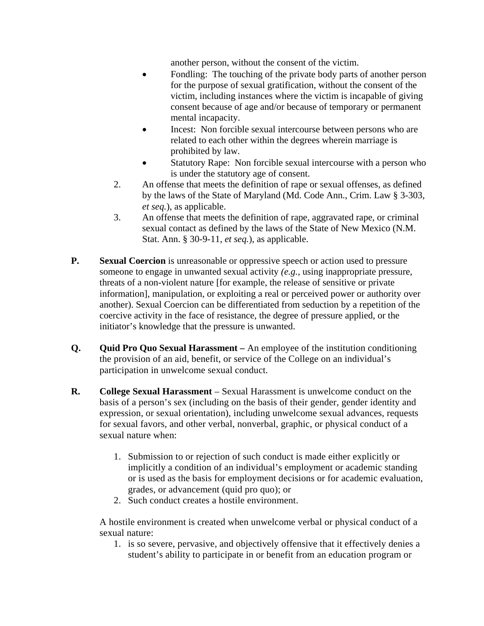another person, without the consent of the victim.

- Fondling: The touching of the private body parts of another person for the purpose of sexual gratification, without the consent of the victim, including instances where the victim is incapable of giving consent because of age and/or because of temporary or permanent mental incapacity.
- Incest: Non forcible sexual intercourse between persons who are related to each other within the degrees wherein marriage is prohibited by law.
- Statutory Rape: Non forcible sexual intercourse with a person who is under the statutory age of consent.
- 2. An offense that meets the definition of rape or sexual offenses, as defined by the laws of the State of Maryland (Md. Code Ann., Crim. Law § 3-303, *et seq.*), as applicable.
- 3. An offense that meets the definition of rape, aggravated rape, or criminal sexual contact as defined by the laws of the State of New Mexico (N.M. Stat. Ann. § 30-9-11, *et seq.*), as applicable.
- **P. Sexual Coercion** is unreasonable or oppressive speech or action used to pressure someone to engage in unwanted sexual activity *(e.g.,* using inappropriate pressure, threats of a non-violent nature [for example, the release of sensitive or private information], manipulation, or exploiting a real or perceived power or authority over another). Sexual Coercion can be differentiated from seduction by a repetition of the coercive activity in the face of resistance, the degree of pressure applied, or the initiator's knowledge that the pressure is unwanted.
- **Q. Quid Pro Quo Sexual Harassment –** An employee of the institution conditioning the provision of an aid, benefit, or service of the College on an individual's participation in unwelcome sexual conduct.
- **R. College Sexual Harassment** Sexual Harassment is unwelcome conduct on the basis of a person's sex (including on the basis of their gender, gender identity and expression, or sexual orientation), including unwelcome sexual advances, requests for sexual favors, and other verbal, nonverbal, graphic, or physical conduct of a sexual nature when:
	- 1. Submission to or rejection of such conduct is made either explicitly or implicitly a condition of an individual's employment or academic standing or is used as the basis for employment decisions or for academic evaluation, grades, or advancement (quid pro quo); or
	- 2. Such conduct creates a hostile environment.

A hostile environment is created when unwelcome verbal or physical conduct of a sexual nature:

1. is so severe, pervasive, and objectively offensive that it effectively denies a student's ability to participate in or benefit from an education program or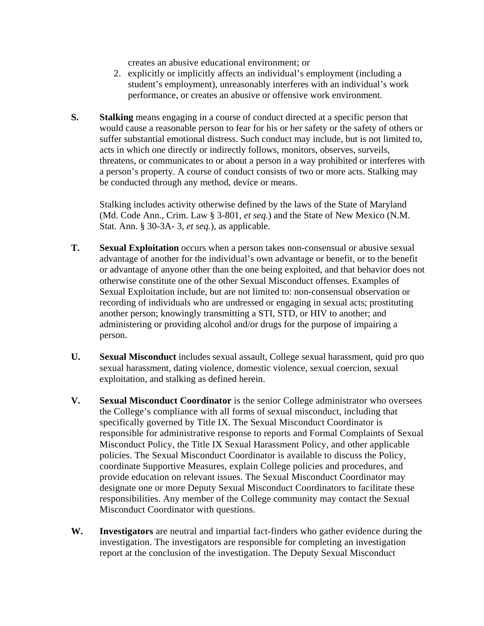creates an abusive educational environment; or

- 2. explicitly or implicitly affects an individual's employment (including a student's employment), unreasonably interferes with an individual's work performance, or creates an abusive or offensive work environment.
- **S. Stalking** means engaging in a course of conduct directed at a specific person that would cause a reasonable person to fear for his or her safety or the safety of others or suffer substantial emotional distress. Such conduct may include, but is not limited to, acts in which one directly or indirectly follows, monitors, observes, surveils, threatens, or communicates to or about a person in a way prohibited or interferes with a person's property. A course of conduct consists of two or more acts. Stalking may be conducted through any method, device or means.

Stalking includes activity otherwise defined by the laws of the State of Maryland (Md. Code Ann., Crim. Law § 3-801, *et seq.*) and the State of New Mexico (N.M. Stat. Ann. § 30-3A- 3, *et seq.*), as applicable.

- **T. Sexual Exploitation** occurs when a person takes non-consensual or abusive sexual advantage of another for the individual's own advantage or benefit, or to the benefit or advantage of anyone other than the one being exploited, and that behavior does not otherwise constitute one of the other Sexual Misconduct offenses. Examples of Sexual Exploitation include, but are not limited to: non-consensual observation or recording of individuals who are undressed or engaging in sexual acts; prostituting another person; knowingly transmitting a STI, STD, or HIV to another; and administering or providing alcohol and/or drugs for the purpose of impairing a person.
- **U. Sexual Misconduct** includes sexual assault, College sexual harassment, quid pro quo sexual harassment, dating violence, domestic violence, sexual coercion, sexual exploitation, and stalking as defined herein.
- **V. Sexual Misconduct Coordinator** is the senior College administrator who oversees the College's compliance with all forms of sexual misconduct, including that specifically governed by Title IX. The Sexual Misconduct Coordinator is responsible for administrative response to reports and Formal Complaints of Sexual Misconduct Policy, the Title IX Sexual Harassment Policy, and other applicable policies. The Sexual Misconduct Coordinator is available to discuss the Policy, coordinate Supportive Measures, explain College policies and procedures, and provide education on relevant issues. The Sexual Misconduct Coordinator may designate one or more Deputy Sexual Misconduct Coordinators to facilitate these responsibilities. Any member of the College community may contact the Sexual Misconduct Coordinator with questions.
- **W. Investigators** are neutral and impartial fact-finders who gather evidence during the investigation. The investigators are responsible for completing an investigation report at the conclusion of the investigation. The Deputy Sexual Misconduct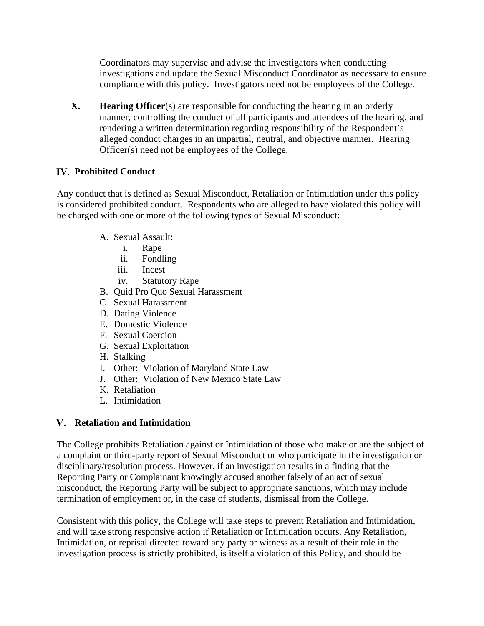Coordinators may supervise and advise the investigators when conducting investigations and update the Sexual Misconduct Coordinator as necessary to ensure compliance with this policy. Investigators need not be employees of the College.

**X. Hearing Officer**(s) are responsible for conducting the hearing in an orderly manner, controlling the conduct of all participants and attendees of the hearing, and rendering a written determination regarding responsibility of the Respondent's alleged conduct charges in an impartial, neutral, and objective manner. Hearing Officer(s) need not be employees of the College.

# **Prohibited Conduct**

Any conduct that is defined as Sexual Misconduct, Retaliation or Intimidation under this policy is considered prohibited conduct. Respondents who are alleged to have violated this policy will be charged with one or more of the following types of Sexual Misconduct:

- A. Sexual Assault:
	- i. Rape
	- ii. Fondling
	- iii. Incest
	- iv. Statutory Rape
- B. Quid Pro Quo Sexual Harassment
- C. Sexual Harassment
- D. Dating Violence
- E. Domestic Violence
- F. Sexual Coercion
- G. Sexual Exploitation
- H. Stalking
- I. Other: Violation of Maryland State Law
- J. Other: Violation of New Mexico State Law
- K. Retaliation
- L. Intimidation

# **Retaliation and Intimidation**

The College prohibits Retaliation against or Intimidation of those who make or are the subject of a complaint or third-party report of Sexual Misconduct or who participate in the investigation or disciplinary/resolution process. However, if an investigation results in a finding that the Reporting Party or Complainant knowingly accused another falsely of an act of sexual misconduct, the Reporting Party will be subject to appropriate sanctions, which may include termination of employment or, in the case of students, dismissal from the College.

Consistent with this policy, the College will take steps to prevent Retaliation and Intimidation, and will take strong responsive action if Retaliation or Intimidation occurs. Any Retaliation, Intimidation, or reprisal directed toward any party or witness as a result of their role in the investigation process is strictly prohibited, is itself a violation of this Policy, and should be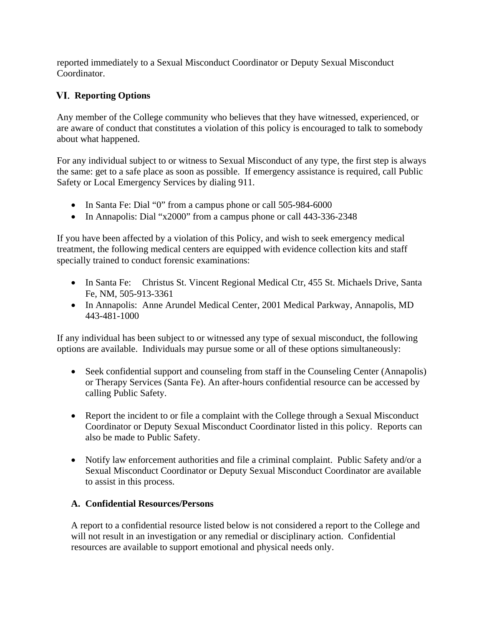reported immediately to a Sexual Misconduct Coordinator or Deputy Sexual Misconduct Coordinator.

# **Reporting Options**

Any member of the College community who believes that they have witnessed, experienced, or are aware of conduct that constitutes a violation of this policy is encouraged to talk to somebody about what happened.

For any individual subject to or witness to Sexual Misconduct of any type, the first step is always the same: get to a safe place as soon as possible. If emergency assistance is required, call Public Safety or Local Emergency Services by dialing 911.

- In Santa Fe: Dial "0" from a campus phone or call 505-984-6000
- In Annapolis: Dial "x2000" from a campus phone or call 443-336-2348

If you have been affected by a violation of this Policy, and wish to seek emergency medical treatment, the following medical centers are equipped with evidence collection kits and staff specially trained to conduct forensic examinations:

- In Santa Fe: Christus St. Vincent Regional Medical Ctr, 455 St. Michaels Drive, Santa Fe, NM, 505-913-3361
- In Annapolis: Anne Arundel Medical Center, 2001 Medical Parkway, Annapolis, MD 443-481-1000

If any individual has been subject to or witnessed any type of sexual misconduct, the following options are available. Individuals may pursue some or all of these options simultaneously:

- Seek confidential support and counseling from staff in the Counseling Center (Annapolis) or Therapy Services (Santa Fe). An after-hours confidential resource can be accessed by calling Public Safety.
- Report the incident to or file a complaint with the College through a Sexual Misconduct Coordinator or Deputy Sexual Misconduct Coordinator listed in this policy. Reports can also be made to Public Safety.
- Notify law enforcement authorities and file a criminal complaint. Public Safety and/or a Sexual Misconduct Coordinator or Deputy Sexual Misconduct Coordinator are available to assist in this process.

### **A. Confidential Resources/Persons**

A report to a confidential resource listed below is not considered a report to the College and will not result in an investigation or any remedial or disciplinary action. Confidential resources are available to support emotional and physical needs only.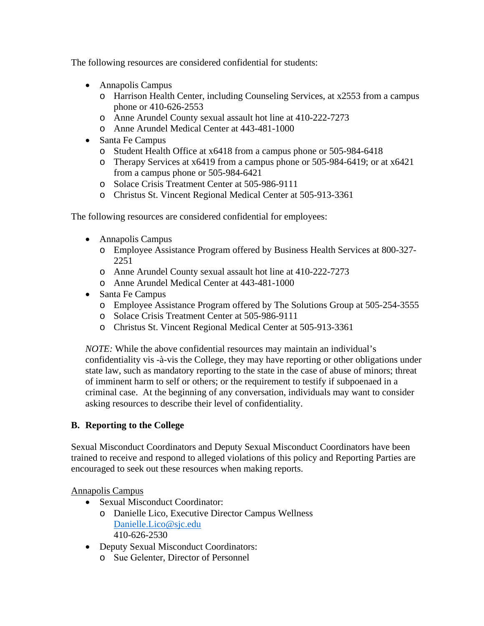The following resources are considered confidential for students:

- Annapolis Campus
	- o Harrison Health Center, including Counseling Services, at x2553 from a campus phone or 410-626-2553
	- o Anne Arundel County sexual assault hot line at 410-222-7273
	- o Anne Arundel Medical Center at 443-481-1000
- Santa Fe Campus
	- o Student Health Office at x6418 from a campus phone or 505-984-6418
	- o Therapy Services at x6419 from a campus phone or 505-984-6419; or at x6421 from a campus phone or 505-984-6421
	- o Solace Crisis Treatment Center at 505-986-9111
	- o Christus St. Vincent Regional Medical Center at 505-913-3361

The following resources are considered confidential for employees:

- Annapolis Campus
	- o Employee Assistance Program offered by Business Health Services at 800-327- 2251
	- o Anne Arundel County sexual assault hot line at 410-222-7273
	- o Anne Arundel Medical Center at 443-481-1000
- Santa Fe Campus
	- o Employee Assistance Program offered by The Solutions Group at 505-254-3555
	- o Solace Crisis Treatment Center at 505-986-9111
	- o Christus St. Vincent Regional Medical Center at 505-913-3361

*NOTE*: While the above confidential resources may maintain an individual's confidentiality vis -à-vis the College, they may have reporting or other obligations under state law, such as mandatory reporting to the state in the case of abuse of minors; threat of imminent harm to self or others; or the requirement to testify if subpoenaed in a criminal case. At the beginning of any conversation, individuals may want to consider asking resources to describe their level of confidentiality.

### **B. Reporting to the College**

Sexual Misconduct Coordinators and Deputy Sexual Misconduct Coordinators have been trained to receive and respond to alleged violations of this policy and Reporting Parties are encouraged to seek out these resources when making reports.

Annapolis Campus

- Sexual Misconduct Coordinator:
	- o Danielle Lico, Executive Director Campus Wellness [Danielle.Lico@sjc.edu](mailto:Danielle.Lico@sjc.edu) 410-626-2530
- Deputy Sexual Misconduct Coordinators:
	- o Sue Gelenter, Director of Personnel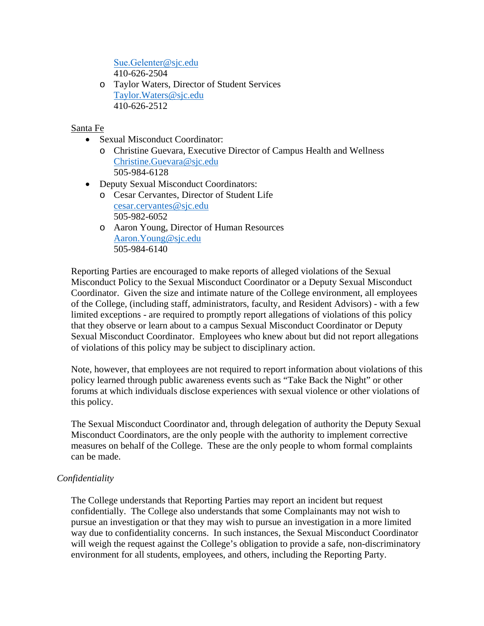Sue.Gelenter[@sjc.edu](mailto:Sue.Gelenter@sjc.edu) 410-626-2504

o Taylor Waters, Director of Student Services [Taylor.Waters@sjc.edu](mailto:Taylor.Waters@sjc.edu) 410-626-2512

### Santa Fe

- Sexual Misconduct Coordinator:
	- o Christine Guevara, Executive Director of Campus Health and Wellness [Christine.Guevara@sjc.edu](mailto:Christine.Guevara@sjc.edu) 505-984-6128
- Deputy Sexual Misconduct Coordinators:
	- o Cesar Cervantes, Director of Student Life [cesar.cervantes@sjc.edu](mailto:cesar.cervantes@sjc.edu) 505-982-6052
	- o Aaron Young, Director of Human Resources [Aaron.Young@sjc.edu](mailto:Aaron.Young@sjc.edu) 505-984-6140

Reporting Parties are encouraged to make reports of alleged violations of the Sexual Misconduct Policy to the Sexual Misconduct Coordinator or a Deputy Sexual Misconduct Coordinator. Given the size and intimate nature of the College environment, all employees of the College, (including staff, administrators, faculty, and Resident Advisors) - with a few limited exceptions - are required to promptly report allegations of violations of this policy that they observe or learn about to a campus Sexual Misconduct Coordinator or Deputy Sexual Misconduct Coordinator. Employees who knew about but did not report allegations of violations of this policy may be subject to disciplinary action.

Note, however, that employees are not required to report information about violations of this policy learned through public awareness events such as "Take Back the Night" or other forums at which individuals disclose experiences with sexual violence or other violations of this policy.

The Sexual Misconduct Coordinator and, through delegation of authority the Deputy Sexual Misconduct Coordinators, are the only people with the authority to implement corrective measures on behalf of the College. These are the only people to whom formal complaints can be made.

### *Confidentiality*

The College understands that Reporting Parties may report an incident but request confidentially. The College also understands that some Complainants may not wish to pursue an investigation or that they may wish to pursue an investigation in a more limited way due to confidentiality concerns. In such instances, the Sexual Misconduct Coordinator will weigh the request against the College's obligation to provide a safe, non-discriminatory environment for all students, employees, and others, including the Reporting Party.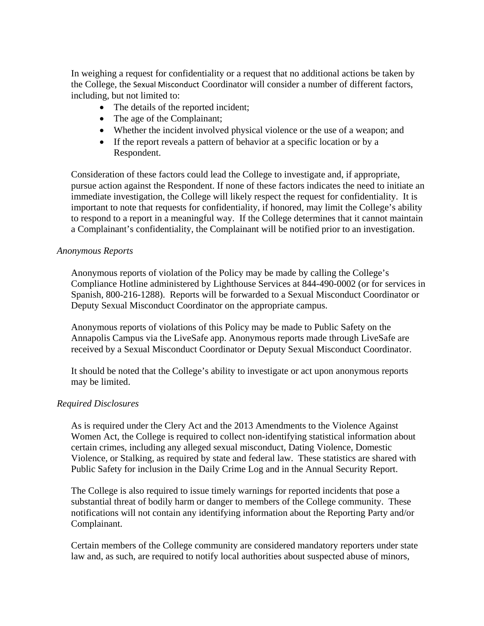In weighing a request for confidentiality or a request that no additional actions be taken by the College, the Sexual Misconduct Coordinator will consider a number of different factors, including, but not limited to:

- The details of the reported incident;
- The age of the Complainant;
- Whether the incident involved physical violence or the use of a weapon; and
- If the report reveals a pattern of behavior at a specific location or by a Respondent.

Consideration of these factors could lead the College to investigate and, if appropriate, pursue action against the Respondent. If none of these factors indicates the need to initiate an immediate investigation, the College will likely respect the request for confidentiality. It is important to note that requests for confidentiality, if honored, may limit the College's ability to respond to a report in a meaningful way. If the College determines that it cannot maintain a Complainant's confidentiality, the Complainant will be notified prior to an investigation.

#### *Anonymous Reports*

Anonymous reports of violation of the Policy may be made by calling the College's Compliance Hotline administered by Lighthouse Services at 844-490-0002 (or for services in Spanish, 800-216-1288). Reports will be forwarded to a Sexual Misconduct Coordinator or Deputy Sexual Misconduct Coordinator on the appropriate campus.

Anonymous reports of violations of this Policy may be made to Public Safety on the Annapolis Campus via the LiveSafe app. Anonymous reports made through LiveSafe are received by a Sexual Misconduct Coordinator or Deputy Sexual Misconduct Coordinator.

It should be noted that the College's ability to investigate or act upon anonymous reports may be limited.

### *Required Disclosures*

As is required under the Clery Act and the 2013 Amendments to the Violence Against Women Act, the College is required to collect non-identifying statistical information about certain crimes, including any alleged sexual misconduct, Dating Violence, Domestic Violence, or Stalking, as required by state and federal law. These statistics are shared with Public Safety for inclusion in the Daily Crime Log and in the Annual Security Report.

The College is also required to issue timely warnings for reported incidents that pose a substantial threat of bodily harm or danger to members of the College community. These notifications will not contain any identifying information about the Reporting Party and/or Complainant.

Certain members of the College community are considered mandatory reporters under state law and, as such, are required to notify local authorities about suspected abuse of minors,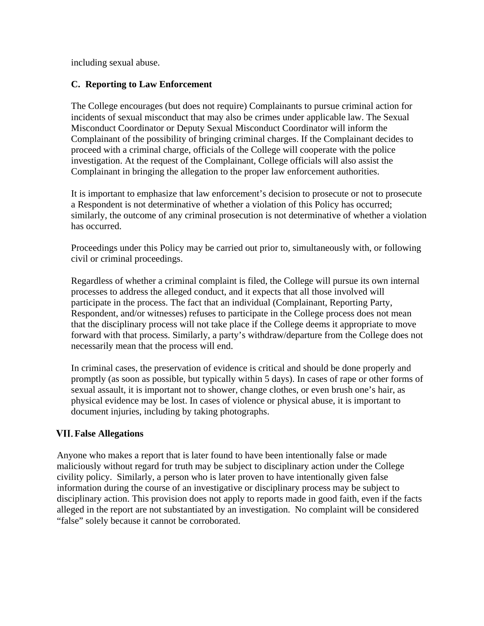including sexual abuse.

### **C. Reporting to Law Enforcement**

The College encourages (but does not require) Complainants to pursue criminal action for incidents of sexual misconduct that may also be crimes under applicable law. The Sexual Misconduct Coordinator or Deputy Sexual Misconduct Coordinator will inform the Complainant of the possibility of bringing criminal charges. If the Complainant decides to proceed with a criminal charge, officials of the College will cooperate with the police investigation. At the request of the Complainant, College officials will also assist the Complainant in bringing the allegation to the proper law enforcement authorities.

It is important to emphasize that law enforcement's decision to prosecute or not to prosecute a Respondent is not determinative of whether a violation of this Policy has occurred; similarly, the outcome of any criminal prosecution is not determinative of whether a violation has occurred.

Proceedings under this Policy may be carried out prior to, simultaneously with, or following civil or criminal proceedings.

Regardless of whether a criminal complaint is filed, the College will pursue its own internal processes to address the alleged conduct, and it expects that all those involved will participate in the process. The fact that an individual (Complainant, Reporting Party, Respondent, and/or witnesses) refuses to participate in the College process does not mean that the disciplinary process will not take place if the College deems it appropriate to move forward with that process. Similarly, a party's withdraw/departure from the College does not necessarily mean that the process will end.

In criminal cases, the preservation of evidence is critical and should be done properly and promptly (as soon as possible, but typically within 5 days). In cases of rape or other forms of sexual assault, it is important not to shower, change clothes, or even brush one's hair, as physical evidence may be lost. In cases of violence or physical abuse, it is important to document injuries, including by taking photographs.

### **False Allegations**

Anyone who makes a report that is later found to have been intentionally false or made maliciously without regard for truth may be subject to disciplinary action under the College civility policy. Similarly, a person who is later proven to have intentionally given false information during the course of an investigative or disciplinary process may be subject to disciplinary action. This provision does not apply to reports made in good faith, even if the facts alleged in the report are not substantiated by an investigation. No complaint will be considered "false" solely because it cannot be corroborated.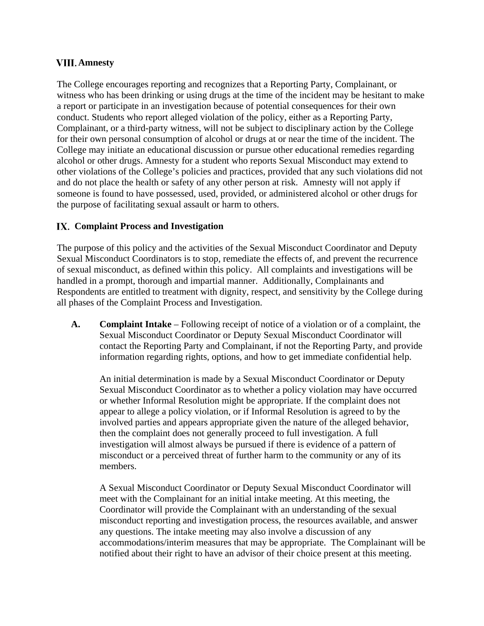### **Amnesty**

The College encourages reporting and recognizes that a Reporting Party, Complainant, or witness who has been drinking or using drugs at the time of the incident may be hesitant to make a report or participate in an investigation because of potential consequences for their own conduct. Students who report alleged violation of the policy, either as a Reporting Party, Complainant, or a third-party witness, will not be subject to disciplinary action by the College for their own personal consumption of alcohol or drugs at or near the time of the incident. The College may initiate an educational discussion or pursue other educational remedies regarding alcohol or other drugs. Amnesty for a student who reports Sexual Misconduct may extend to other violations of the College's policies and practices, provided that any such violations did not and do not place the health or safety of any other person at risk. Amnesty will not apply if someone is found to have possessed, used, provided, or administered alcohol or other drugs for the purpose of facilitating sexual assault or harm to others.

### **Complaint Process and Investigation**

The purpose of this policy and the activities of the Sexual Misconduct Coordinator and Deputy Sexual Misconduct Coordinators is to stop, remediate the effects of, and prevent the recurrence of sexual misconduct, as defined within this policy. All complaints and investigations will be handled in a prompt, thorough and impartial manner. Additionally, Complainants and Respondents are entitled to treatment with dignity, respect, and sensitivity by the College during all phases of the Complaint Process and Investigation.

**A. Complaint Intake** – Following receipt of notice of a violation or of a complaint, the Sexual Misconduct Coordinator or Deputy Sexual Misconduct Coordinator will contact the Reporting Party and Complainant, if not the Reporting Party, and provide information regarding rights, options, and how to get immediate confidential help.

An initial determination is made by a Sexual Misconduct Coordinator or Deputy Sexual Misconduct Coordinator as to whether a policy violation may have occurred or whether Informal Resolution might be appropriate. If the complaint does not appear to allege a policy violation, or if Informal Resolution is agreed to by the involved parties and appears appropriate given the nature of the alleged behavior, then the complaint does not generally proceed to full investigation. A full investigation will almost always be pursued if there is evidence of a pattern of misconduct or a perceived threat of further harm to the community or any of its members.

A Sexual Misconduct Coordinator or Deputy Sexual Misconduct Coordinator will meet with the Complainant for an initial intake meeting. At this meeting, the Coordinator will provide the Complainant with an understanding of the sexual misconduct reporting and investigation process, the resources available, and answer any questions. The intake meeting may also involve a discussion of any accommodations/interim measures that may be appropriate. The Complainant will be notified about their right to have an advisor of their choice present at this meeting.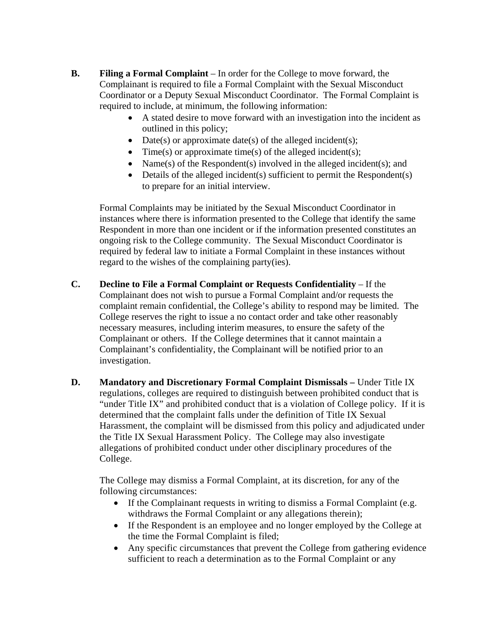- **B. Filing a Formal Complaint** In order for the College to move forward, the Complainant is required to file a Formal Complaint with the Sexual Misconduct Coordinator or a Deputy Sexual Misconduct Coordinator. The Formal Complaint is required to include, at minimum, the following information:
	- A stated desire to move forward with an investigation into the incident as outlined in this policy;
	- Date(s) or approximate date(s) of the alleged incident(s);
	- Time(s) or approximate time(s) of the alleged incident(s);
	- Name(s) of the Respondent(s) involved in the alleged incident(s); and
	- Details of the alleged incident(s) sufficient to permit the Respondent(s) to prepare for an initial interview.

Formal Complaints may be initiated by the Sexual Misconduct Coordinator in instances where there is information presented to the College that identify the same Respondent in more than one incident or if the information presented constitutes an ongoing risk to the College community. The Sexual Misconduct Coordinator is required by federal law to initiate a Formal Complaint in these instances without regard to the wishes of the complaining party(ies).

- **C. Decline to File a Formal Complaint or Requests Confidentiality** If the Complainant does not wish to pursue a Formal Complaint and/or requests the complaint remain confidential, the College's ability to respond may be limited. The College reserves the right to issue a no contact order and take other reasonably necessary measures, including interim measures, to ensure the safety of the Complainant or others. If the College determines that it cannot maintain a Complainant's confidentiality, the Complainant will be notified prior to an investigation.
- **D. Mandatory and Discretionary Formal Complaint Dismissals Under Title IX** regulations, colleges are required to distinguish between prohibited conduct that is "under Title IX" and prohibited conduct that is a violation of College policy. If it is determined that the complaint falls under the definition of Title IX Sexual Harassment, the complaint will be dismissed from this policy and adjudicated under the Title IX Sexual Harassment Policy. The College may also investigate allegations of prohibited conduct under other disciplinary procedures of the College.

The College may dismiss a Formal Complaint, at its discretion, for any of the following circumstances:

- If the Complainant requests in writing to dismiss a Formal Complaint (e.g. withdraws the Formal Complaint or any allegations therein);
- If the Respondent is an employee and no longer employed by the College at the time the Formal Complaint is filed;
- Any specific circumstances that prevent the College from gathering evidence sufficient to reach a determination as to the Formal Complaint or any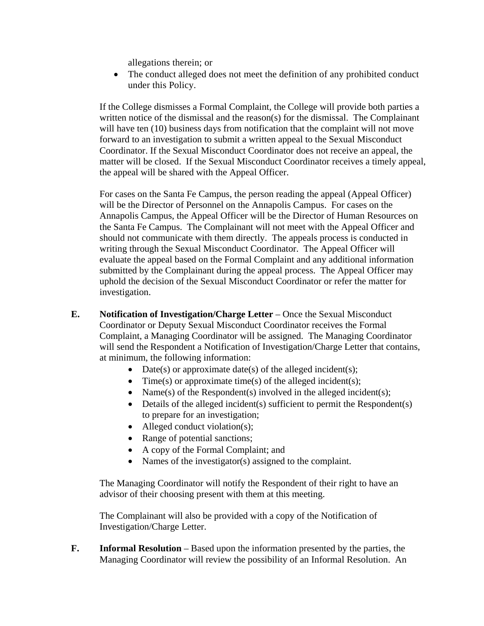allegations therein; or

• The conduct alleged does not meet the definition of any prohibited conduct under this Policy.

If the College dismisses a Formal Complaint, the College will provide both parties a written notice of the dismissal and the reason(s) for the dismissal. The Complainant will have ten (10) business days from notification that the complaint will not move forward to an investigation to submit a written appeal to the Sexual Misconduct Coordinator. If the Sexual Misconduct Coordinator does not receive an appeal, the matter will be closed. If the Sexual Misconduct Coordinator receives a timely appeal, the appeal will be shared with the Appeal Officer.

For cases on the Santa Fe Campus, the person reading the appeal (Appeal Officer) will be the Director of Personnel on the Annapolis Campus. For cases on the Annapolis Campus, the Appeal Officer will be the Director of Human Resources on the Santa Fe Campus. The Complainant will not meet with the Appeal Officer and should not communicate with them directly. The appeals process is conducted in writing through the Sexual Misconduct Coordinator. The Appeal Officer will evaluate the appeal based on the Formal Complaint and any additional information submitted by the Complainant during the appeal process. The Appeal Officer may uphold the decision of the Sexual Misconduct Coordinator or refer the matter for investigation.

- **E. Notification of Investigation/Charge Letter** Once the Sexual Misconduct Coordinator or Deputy Sexual Misconduct Coordinator receives the Formal Complaint, a Managing Coordinator will be assigned. The Managing Coordinator will send the Respondent a Notification of Investigation/Charge Letter that contains, at minimum, the following information:
	- Date(s) or approximate date(s) of the alleged incident(s);
	- Time(s) or approximate time(s) of the alleged incident(s);
	- Name(s) of the Respondent(s) involved in the alleged incident(s);
	- Details of the alleged incident(s) sufficient to permit the Respondent(s) to prepare for an investigation;
	- Alleged conduct violation(s);
	- Range of potential sanctions;
	- A copy of the Formal Complaint; and
	- Names of the investigator(s) assigned to the complaint.

The Managing Coordinator will notify the Respondent of their right to have an advisor of their choosing present with them at this meeting.

The Complainant will also be provided with a copy of the Notification of Investigation/Charge Letter.

**F. Informal Resolution** – Based upon the information presented by the parties, the Managing Coordinator will review the possibility of an Informal Resolution. An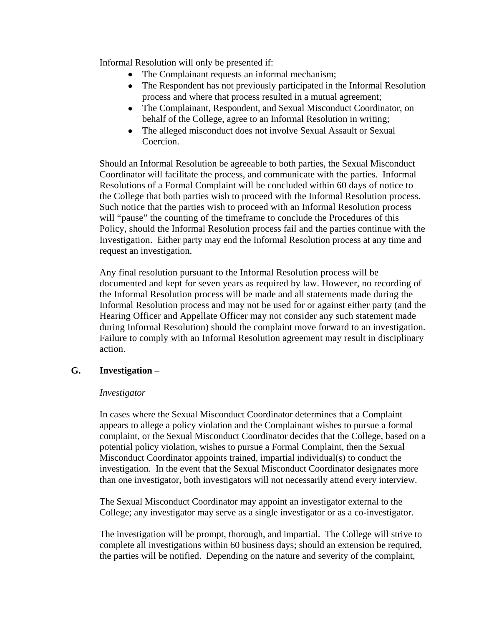Informal Resolution will only be presented if:

- The Complainant requests an informal mechanism;
- The Respondent has not previously participated in the Informal Resolution process and where that process resulted in a mutual agreement;
- The Complainant, Respondent, and Sexual Misconduct Coordinator, on behalf of the College, agree to an Informal Resolution in writing;
- The alleged misconduct does not involve Sexual Assault or Sexual Coercion.

Should an Informal Resolution be agreeable to both parties, the Sexual Misconduct Coordinator will facilitate the process, and communicate with the parties. Informal Resolutions of a Formal Complaint will be concluded within 60 days of notice to the College that both parties wish to proceed with the Informal Resolution process. Such notice that the parties wish to proceed with an Informal Resolution process will "pause" the counting of the timeframe to conclude the Procedures of this Policy, should the Informal Resolution process fail and the parties continue with the Investigation. Either party may end the Informal Resolution process at any time and request an investigation.

Any final resolution pursuant to the Informal Resolution process will be documented and kept for seven years as required by law. However, no recording of the Informal Resolution process will be made and all statements made during the Informal Resolution process and may not be used for or against either party (and the Hearing Officer and Appellate Officer may not consider any such statement made during Informal Resolution) should the complaint move forward to an investigation. Failure to comply with an Informal Resolution agreement may result in disciplinary action.

### **G. Investigation** –

### *Investigator*

In cases where the Sexual Misconduct Coordinator determines that a Complaint appears to allege a policy violation and the Complainant wishes to pursue a formal complaint, or the Sexual Misconduct Coordinator decides that the College, based on a potential policy violation, wishes to pursue a Formal Complaint, then the Sexual Misconduct Coordinator appoints trained, impartial individual(s) to conduct the investigation. In the event that the Sexual Misconduct Coordinator designates more than one investigator, both investigators will not necessarily attend every interview.

The Sexual Misconduct Coordinator may appoint an investigator external to the College; any investigator may serve as a single investigator or as a co-investigator.

The investigation will be prompt, thorough, and impartial. The College will strive to complete all investigations within 60 business days; should an extension be required, the parties will be notified. Depending on the nature and severity of the complaint,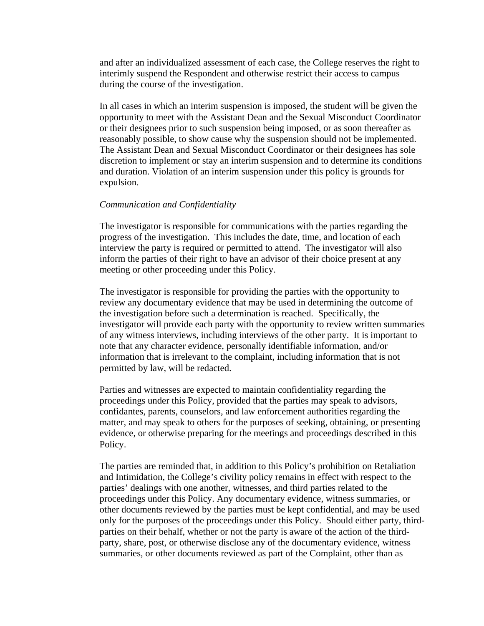and after an individualized assessment of each case, the College reserves the right to interimly suspend the Respondent and otherwise restrict their access to campus during the course of the investigation.

In all cases in which an interim suspension is imposed, the student will be given the opportunity to meet with the Assistant Dean and the Sexual Misconduct Coordinator or their designees prior to such suspension being imposed, or as soon thereafter as reasonably possible, to show cause why the suspension should not be implemented. The Assistant Dean and Sexual Misconduct Coordinator or their designees has sole discretion to implement or stay an interim suspension and to determine its conditions and duration. Violation of an interim suspension under this policy is grounds for expulsion.

#### *Communication and Confidentiality*

The investigator is responsible for communications with the parties regarding the progress of the investigation. This includes the date, time, and location of each interview the party is required or permitted to attend. The investigator will also inform the parties of their right to have an advisor of their choice present at any meeting or other proceeding under this Policy.

The investigator is responsible for providing the parties with the opportunity to review any documentary evidence that may be used in determining the outcome of the investigation before such a determination is reached. Specifically, the investigator will provide each party with the opportunity to review written summaries of any witness interviews, including interviews of the other party. It is important to note that any character evidence, personally identifiable information, and/or information that is irrelevant to the complaint, including information that is not permitted by law, will be redacted.

Parties and witnesses are expected to maintain confidentiality regarding the proceedings under this Policy, provided that the parties may speak to advisors, confidantes, parents, counselors, and law enforcement authorities regarding the matter, and may speak to others for the purposes of seeking, obtaining, or presenting evidence, or otherwise preparing for the meetings and proceedings described in this Policy.

The parties are reminded that, in addition to this Policy's prohibition on Retaliation and Intimidation, the College's civility policy remains in effect with respect to the parties' dealings with one another, witnesses, and third parties related to the proceedings under this Policy. Any documentary evidence, witness summaries, or other documents reviewed by the parties must be kept confidential, and may be used only for the purposes of the proceedings under this Policy. Should either party, thirdparties on their behalf, whether or not the party is aware of the action of the thirdparty, share, post, or otherwise disclose any of the documentary evidence, witness summaries, or other documents reviewed as part of the Complaint, other than as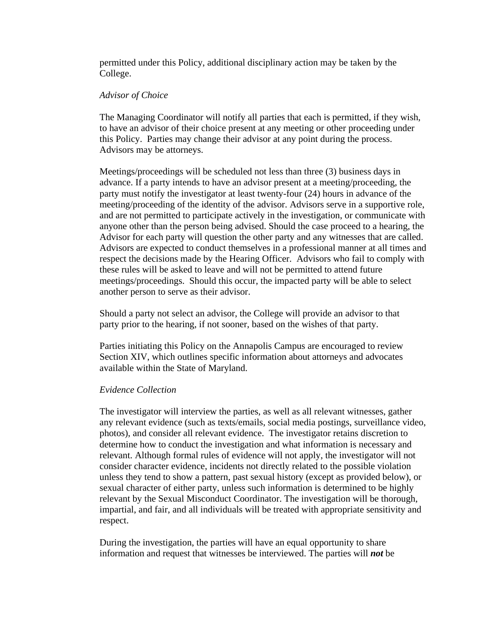permitted under this Policy, additional disciplinary action may be taken by the College.

#### *Advisor of Choice*

The Managing Coordinator will notify all parties that each is permitted, if they wish, to have an advisor of their choice present at any meeting or other proceeding under this Policy. Parties may change their advisor at any point during the process. Advisors may be attorneys.

Meetings/proceedings will be scheduled not less than three (3) business days in advance. If a party intends to have an advisor present at a meeting/proceeding, the party must notify the investigator at least twenty-four (24) hours in advance of the meeting/proceeding of the identity of the advisor. Advisors serve in a supportive role, and are not permitted to participate actively in the investigation, or communicate with anyone other than the person being advised. Should the case proceed to a hearing, the Advisor for each party will question the other party and any witnesses that are called. Advisors are expected to conduct themselves in a professional manner at all times and respect the decisions made by the Hearing Officer. Advisors who fail to comply with these rules will be asked to leave and will not be permitted to attend future meetings/proceedings. Should this occur, the impacted party will be able to select another person to serve as their advisor.

Should a party not select an advisor, the College will provide an advisor to that party prior to the hearing, if not sooner, based on the wishes of that party.

Parties initiating this Policy on the Annapolis Campus are encouraged to review Section XIV, which outlines specific information about attorneys and advocates available within the State of Maryland.

### *Evidence Collection*

The investigator will interview the parties, as well as all relevant witnesses, gather any relevant evidence (such as texts/emails, social media postings, surveillance video, photos), and consider all relevant evidence. The investigator retains discretion to determine how to conduct the investigation and what information is necessary and relevant. Although formal rules of evidence will not apply, the investigator will not consider character evidence, incidents not directly related to the possible violation unless they tend to show a pattern, past sexual history (except as provided below), or sexual character of either party, unless such information is determined to be highly relevant by the Sexual Misconduct Coordinator. The investigation will be thorough, impartial, and fair, and all individuals will be treated with appropriate sensitivity and respect.

During the investigation, the parties will have an equal opportunity to share information and request that witnesses be interviewed. The parties will *not* be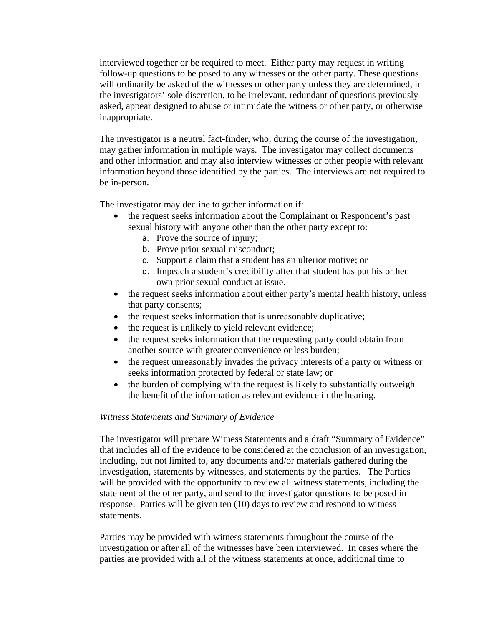interviewed together or be required to meet. Either party may request in writing follow-up questions to be posed to any witnesses or the other party. These questions will ordinarily be asked of the witnesses or other party unless they are determined, in the investigators' sole discretion, to be irrelevant, redundant of questions previously asked, appear designed to abuse or intimidate the witness or other party, or otherwise inappropriate.

The investigator is a neutral fact-finder, who, during the course of the investigation, may gather information in multiple ways. The investigator may collect documents and other information and may also interview witnesses or other people with relevant information beyond those identified by the parties. The interviews are not required to be in-person.

The investigator may decline to gather information if:

- the request seeks information about the Complainant or Respondent's past sexual history with anyone other than the other party except to:
	- a. Prove the source of injury;
	- b. Prove prior sexual misconduct;
	- c. Support a claim that a student has an ulterior motive; or
	- d. Impeach a student's credibility after that student has put his or her own prior sexual conduct at issue.
- the request seeks information about either party's mental health history, unless that party consents;
- the request seeks information that is unreasonably duplicative;
- the request is unlikely to yield relevant evidence;
- the request seeks information that the requesting party could obtain from another source with greater convenience or less burden;
- the request unreasonably invades the privacy interests of a party or witness or seeks information protected by federal or state law; or
- the burden of complying with the request is likely to substantially outweigh the benefit of the information as relevant evidence in the hearing.

### *Witness Statements and Summary of Evidence*

The investigator will prepare Witness Statements and a draft "Summary of Evidence" that includes all of the evidence to be considered at the conclusion of an investigation, including, but not limited to, any documents and/or materials gathered during the investigation, statements by witnesses, and statements by the parties. The Parties will be provided with the opportunity to review all witness statements, including the statement of the other party, and send to the investigator questions to be posed in response. Parties will be given ten (10) days to review and respond to witness statements.

Parties may be provided with witness statements throughout the course of the investigation or after all of the witnesses have been interviewed. In cases where the parties are provided with all of the witness statements at once, additional time to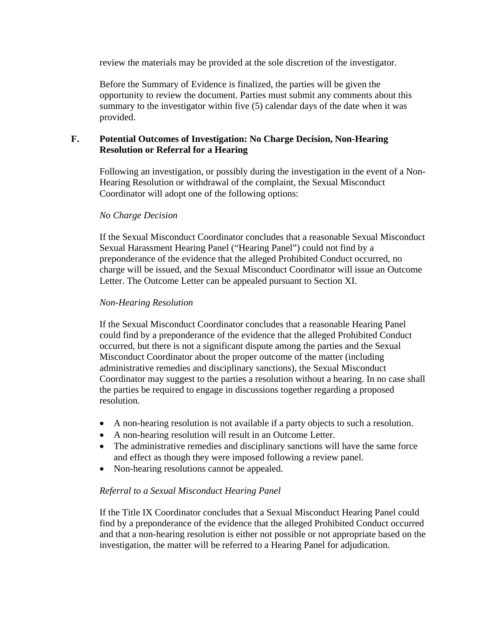review the materials may be provided at the sole discretion of the investigator.

Before the Summary of Evidence is finalized, the parties will be given the opportunity to review the document. Parties must submit any comments about this summary to the investigator within five (5) calendar days of the date when it was provided.

### **F. Potential Outcomes of Investigation: No Charge Decision, Non-Hearing Resolution or Referral for a Hearing**

Following an investigation, or possibly during the investigation in the event of a Non-Hearing Resolution or withdrawal of the complaint, the Sexual Misconduct Coordinator will adopt one of the following options:

### *No Charge Decision*

If the Sexual Misconduct Coordinator concludes that a reasonable Sexual Misconduct Sexual Harassment Hearing Panel ("Hearing Panel") could not find by a preponderance of the evidence that the alleged Prohibited Conduct occurred, no charge will be issued, and the Sexual Misconduct Coordinator will issue an Outcome Letter. The Outcome Letter can be appealed pursuant to Section XI.

### *Non-Hearing Resolution*

If the Sexual Misconduct Coordinator concludes that a reasonable Hearing Panel could find by a preponderance of the evidence that the alleged Prohibited Conduct occurred, but there is not a significant dispute among the parties and the Sexual Misconduct Coordinator about the proper outcome of the matter (including administrative remedies and disciplinary sanctions), the Sexual Misconduct Coordinator may suggest to the parties a resolution without a hearing. In no case shall the parties be required to engage in discussions together regarding a proposed resolution.

- A non-hearing resolution is not available if a party objects to such a resolution.
- A non-hearing resolution will result in an Outcome Letter.
- The administrative remedies and disciplinary sanctions will have the same force and effect as though they were imposed following a review panel.
- Non-hearing resolutions cannot be appealed.

### *Referral to a Sexual Misconduct Hearing Panel*

If the Title IX Coordinator concludes that a Sexual Misconduct Hearing Panel could find by a preponderance of the evidence that the alleged Prohibited Conduct occurred and that a non-hearing resolution is either not possible or not appropriate based on the investigation, the matter will be referred to a Hearing Panel for adjudication.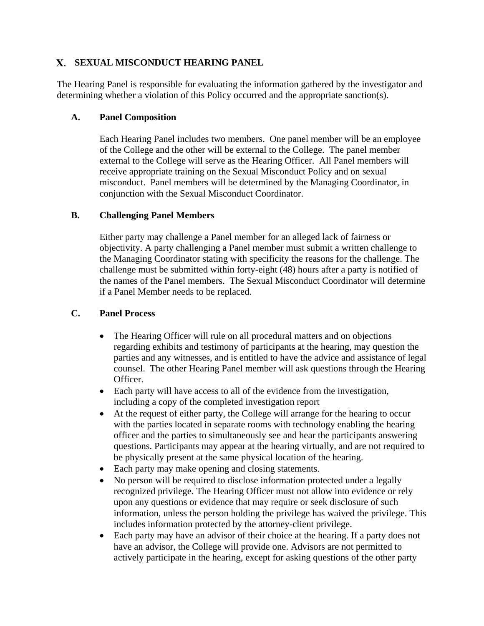# **SEXUAL MISCONDUCT HEARING PANEL**

The Hearing Panel is responsible for evaluating the information gathered by the investigator and determining whether a violation of this Policy occurred and the appropriate sanction(s).

### **A. Panel Composition**

Each Hearing Panel includes two members. One panel member will be an employee of the College and the other will be external to the College. The panel member external to the College will serve as the Hearing Officer. All Panel members will receive appropriate training on the Sexual Misconduct Policy and on sexual misconduct. Panel members will be determined by the Managing Coordinator, in conjunction with the Sexual Misconduct Coordinator.

# **B. Challenging Panel Members**

Either party may challenge a Panel member for an alleged lack of fairness or objectivity. A party challenging a Panel member must submit a written challenge to the Managing Coordinator stating with specificity the reasons for the challenge. The challenge must be submitted within forty-eight (48) hours after a party is notified of the names of the Panel members. The Sexual Misconduct Coordinator will determine if a Panel Member needs to be replaced.

# **C. Panel Process**

- The Hearing Officer will rule on all procedural matters and on objections regarding exhibits and testimony of participants at the hearing, may question the parties and any witnesses, and is entitled to have the advice and assistance of legal counsel. The other Hearing Panel member will ask questions through the Hearing Officer.
- Each party will have access to all of the evidence from the investigation, including a copy of the completed investigation report
- At the request of either party, the College will arrange for the hearing to occur with the parties located in separate rooms with technology enabling the hearing officer and the parties to simultaneously see and hear the participants answering questions. Participants may appear at the hearing virtually, and are not required to be physically present at the same physical location of the hearing.
- Each party may make opening and closing statements.
- No person will be required to disclose information protected under a legally recognized privilege. The Hearing Officer must not allow into evidence or rely upon any questions or evidence that may require or seek disclosure of such information, unless the person holding the privilege has waived the privilege. This includes information protected by the attorney-client privilege.
- Each party may have an advisor of their choice at the hearing. If a party does not have an advisor, the College will provide one. Advisors are not permitted to actively participate in the hearing, except for asking questions of the other party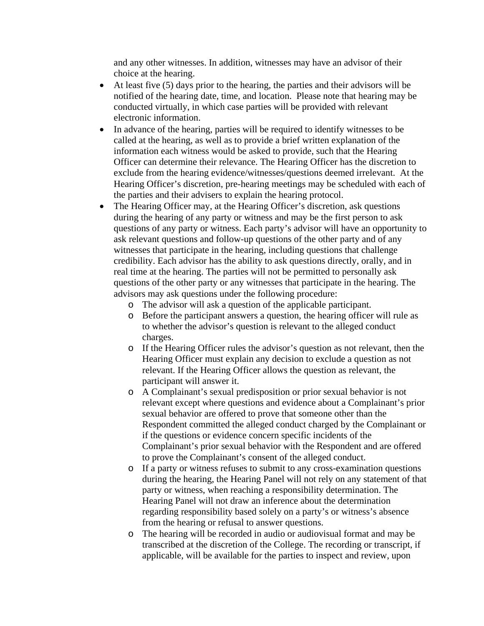and any other witnesses. In addition, witnesses may have an advisor of their choice at the hearing.

- At least five (5) days prior to the hearing, the parties and their advisors will be notified of the hearing date, time, and location. Please note that hearing may be conducted virtually, in which case parties will be provided with relevant electronic information.
- In advance of the hearing, parties will be required to identify witnesses to be called at the hearing, as well as to provide a brief written explanation of the information each witness would be asked to provide, such that the Hearing Officer can determine their relevance. The Hearing Officer has the discretion to exclude from the hearing evidence/witnesses/questions deemed irrelevant. At the Hearing Officer's discretion, pre-hearing meetings may be scheduled with each of the parties and their advisers to explain the hearing protocol.
- The Hearing Officer may, at the Hearing Officer's discretion, ask questions during the hearing of any party or witness and may be the first person to ask questions of any party or witness. Each party's advisor will have an opportunity to ask relevant questions and follow-up questions of the other party and of any witnesses that participate in the hearing, including questions that challenge credibility. Each advisor has the ability to ask questions directly, orally, and in real time at the hearing. The parties will not be permitted to personally ask questions of the other party or any witnesses that participate in the hearing. The advisors may ask questions under the following procedure:
	- o The advisor will ask a question of the applicable participant.
	- o Before the participant answers a question, the hearing officer will rule as to whether the advisor's question is relevant to the alleged conduct charges.
	- o If the Hearing Officer rules the advisor's question as not relevant, then the Hearing Officer must explain any decision to exclude a question as not relevant. If the Hearing Officer allows the question as relevant, the participant will answer it.
	- o A Complainant's sexual predisposition or prior sexual behavior is not relevant except where questions and evidence about a Complainant's prior sexual behavior are offered to prove that someone other than the Respondent committed the alleged conduct charged by the Complainant or if the questions or evidence concern specific incidents of the Complainant's prior sexual behavior with the Respondent and are offered to prove the Complainant's consent of the alleged conduct.
	- o If a party or witness refuses to submit to any cross-examination questions during the hearing, the Hearing Panel will not rely on any statement of that party or witness, when reaching a responsibility determination. The Hearing Panel will not draw an inference about the determination regarding responsibility based solely on a party's or witness's absence from the hearing or refusal to answer questions.
	- o The hearing will be recorded in audio or audiovisual format and may be transcribed at the discretion of the College. The recording or transcript, if applicable, will be available for the parties to inspect and review, upon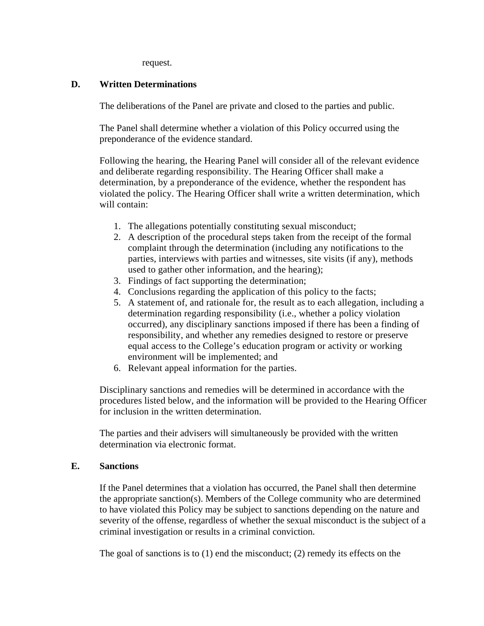request.

### **D. Written Determinations**

The deliberations of the Panel are private and closed to the parties and public.

The Panel shall determine whether a violation of this Policy occurred using the preponderance of the evidence standard.

Following the hearing, the Hearing Panel will consider all of the relevant evidence and deliberate regarding responsibility. The Hearing Officer shall make a determination, by a preponderance of the evidence, whether the respondent has violated the policy. The Hearing Officer shall write a written determination, which will contain:

- 1. The allegations potentially constituting sexual misconduct;
- 2. A description of the procedural steps taken from the receipt of the formal complaint through the determination (including any notifications to the parties, interviews with parties and witnesses, site visits (if any), methods used to gather other information, and the hearing);
- 3. Findings of fact supporting the determination;
- 4. Conclusions regarding the application of this policy to the facts;
- 5. A statement of, and rationale for, the result as to each allegation, including a determination regarding responsibility (i.e., whether a policy violation occurred), any disciplinary sanctions imposed if there has been a finding of responsibility, and whether any remedies designed to restore or preserve equal access to the College's education program or activity or working environment will be implemented; and
- 6. Relevant appeal information for the parties.

Disciplinary sanctions and remedies will be determined in accordance with the procedures listed below, and the information will be provided to the Hearing Officer for inclusion in the written determination.

The parties and their advisers will simultaneously be provided with the written determination via electronic format.

### **E. Sanctions**

If the Panel determines that a violation has occurred, the Panel shall then determine the appropriate sanction(s). Members of the College community who are determined to have violated this Policy may be subject to sanctions depending on the nature and severity of the offense, regardless of whether the sexual misconduct is the subject of a criminal investigation or results in a criminal conviction.

The goal of sanctions is to  $(1)$  end the misconduct;  $(2)$  remedy its effects on the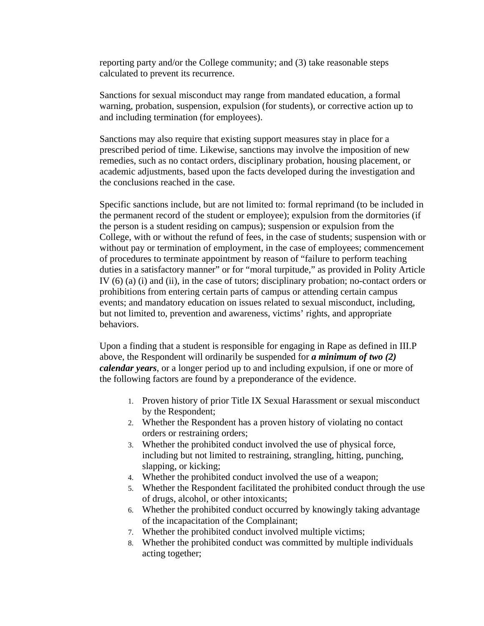reporting party and/or the College community; and (3) take reasonable steps calculated to prevent its recurrence.

Sanctions for sexual misconduct may range from mandated education, a formal warning, probation, suspension, expulsion (for students), or corrective action up to and including termination (for employees).

Sanctions may also require that existing support measures stay in place for a prescribed period of time. Likewise, sanctions may involve the imposition of new remedies, such as no contact orders, disciplinary probation, housing placement, or academic adjustments, based upon the facts developed during the investigation and the conclusions reached in the case.

Specific sanctions include, but are not limited to: formal reprimand (to be included in the permanent record of the student or employee); expulsion from the dormitories (if the person is a student residing on campus); suspension or expulsion from the College, with or without the refund of fees, in the case of students; suspension with or without pay or termination of employment, in the case of employees; commencement of procedures to terminate appointment by reason of "failure to perform teaching duties in a satisfactory manner" or for "moral turpitude," as provided in Polity Article IV (6) (a) (i) and (ii), in the case of tutors; disciplinary probation; no-contact orders or prohibitions from entering certain parts of campus or attending certain campus events; and mandatory education on issues related to sexual misconduct, including, but not limited to, prevention and awareness, victims' rights, and appropriate behaviors.

Upon a finding that a student is responsible for engaging in Rape as defined in III.P above, the Respondent will ordinarily be suspended for *a minimum of two (2) calendar years*, or a longer period up to and including expulsion, if one or more of the following factors are found by a preponderance of the evidence.

- 1. Proven history of prior Title IX Sexual Harassment or sexual misconduct by the Respondent;
- 2. Whether the Respondent has a proven history of violating no contact orders or restraining orders;
- 3. Whether the prohibited conduct involved the use of physical force, including but not limited to restraining, strangling, hitting, punching, slapping, or kicking;
- 4. Whether the prohibited conduct involved the use of a weapon;
- 5. Whether the Respondent facilitated the prohibited conduct through the use of drugs, alcohol, or other intoxicants;
- 6. Whether the prohibited conduct occurred by knowingly taking advantage of the incapacitation of the Complainant;
- 7. Whether the prohibited conduct involved multiple victims;
- 8. Whether the prohibited conduct was committed by multiple individuals acting together;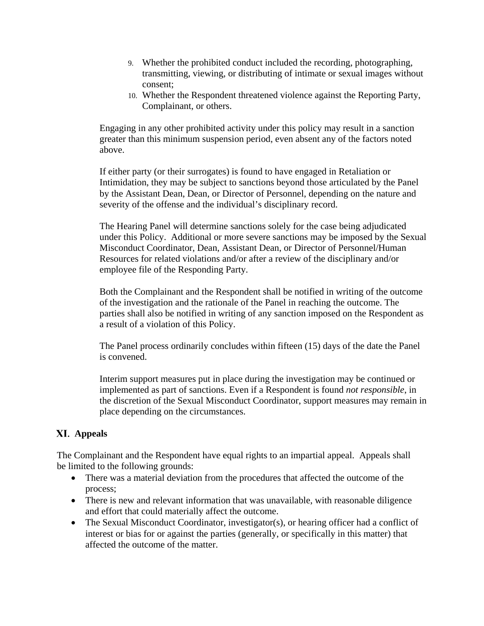- 9. Whether the prohibited conduct included the recording, photographing, transmitting, viewing, or distributing of intimate or sexual images without consent;
- 10. Whether the Respondent threatened violence against the Reporting Party, Complainant, or others.

Engaging in any other prohibited activity under this policy may result in a sanction greater than this minimum suspension period, even absent any of the factors noted above.

If either party (or their surrogates) is found to have engaged in Retaliation or Intimidation, they may be subject to sanctions beyond those articulated by the Panel by the Assistant Dean, Dean, or Director of Personnel, depending on the nature and severity of the offense and the individual's disciplinary record.

The Hearing Panel will determine sanctions solely for the case being adjudicated under this Policy. Additional or more severe sanctions may be imposed by the Sexual Misconduct Coordinator, Dean, Assistant Dean, or Director of Personnel/Human Resources for related violations and/or after a review of the disciplinary and/or employee file of the Responding Party.

Both the Complainant and the Respondent shall be notified in writing of the outcome of the investigation and the rationale of the Panel in reaching the outcome. The parties shall also be notified in writing of any sanction imposed on the Respondent as a result of a violation of this Policy.

The Panel process ordinarily concludes within fifteen (15) days of the date the Panel is convened.

Interim support measures put in place during the investigation may be continued or implemented as part of sanctions. Even if a Respondent is found *not responsible*, in the discretion of the Sexual Misconduct Coordinator, support measures may remain in place depending on the circumstances.

# **Appeals**

The Complainant and the Respondent have equal rights to an impartial appeal. Appeals shall be limited to the following grounds:

- There was a material deviation from the procedures that affected the outcome of the process;
- There is new and relevant information that was unavailable, with reasonable diligence and effort that could materially affect the outcome.
- The Sexual Misconduct Coordinator, investigator(s), or hearing officer had a conflict of interest or bias for or against the parties (generally, or specifically in this matter) that affected the outcome of the matter.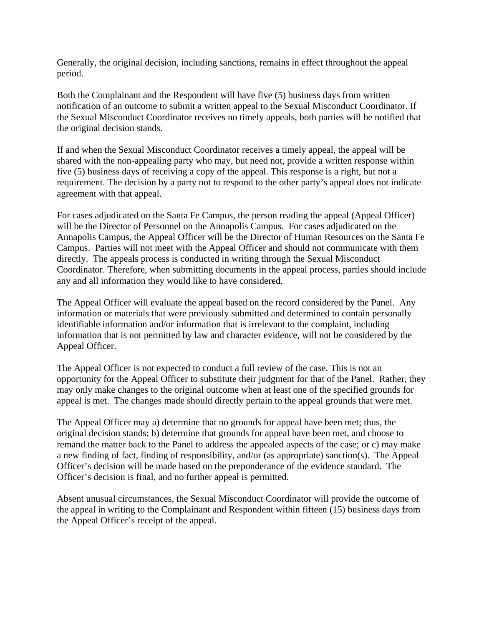Generally, the original decision, including sanctions, remains in effect throughout the appeal period.

Both the Complainant and the Respondent will have five (5) business days from written notification of an outcome to submit a written appeal to the Sexual Misconduct Coordinator. If the Sexual Misconduct Coordinator receives no timely appeals, both parties will be notified that the original decision stands.

If and when the Sexual Misconduct Coordinator receives a timely appeal, the appeal will be shared with the non-appealing party who may, but need not, provide a written response within five (5) business days of receiving a copy of the appeal. This response is a right, but not a requirement. The decision by a party not to respond to the other party's appeal does not indicate agreement with that appeal.

For cases adjudicated on the Santa Fe Campus, the person reading the appeal (Appeal Officer) will be the Director of Personnel on the Annapolis Campus. For cases adjudicated on the Annapolis Campus, the Appeal Officer will be the Director of Human Resources on the Santa Fe Campus. Parties will not meet with the Appeal Officer and should not communicate with them directly. The appeals process is conducted in writing through the Sexual Misconduct Coordinator. Therefore, when submitting documents in the appeal process, parties should include any and all information they would like to have considered.

The Appeal Officer will evaluate the appeal based on the record considered by the Panel. Any information or materials that were previously submitted and determined to contain personally identifiable information and/or information that is irrelevant to the complaint, including information that is not permitted by law and character evidence, will not be considered by the Appeal Officer.

The Appeal Officer is not expected to conduct a full review of the case. This is not an opportunity for the Appeal Officer to substitute their judgment for that of the Panel. Rather, they may only make changes to the original outcome when at least one of the specified grounds for appeal is met. The changes made should directly pertain to the appeal grounds that were met.

The Appeal Officer may a) determine that no grounds for appeal have been met; thus, the original decision stands; b) determine that grounds for appeal have been met, and choose to remand the matter back to the Panel to address the appealed aspects of the case; or c) may make a new finding of fact, finding of responsibility, and/or (as appropriate) sanction(s). The Appeal Officer's decision will be made based on the preponderance of the evidence standard. The Officer's decision is final, and no further appeal is permitted.

Absent unusual circumstances, the Sexual Misconduct Coordinator will provide the outcome of the appeal in writing to the Complainant and Respondent within fifteen (15) business days from the Appeal Officer's receipt of the appeal.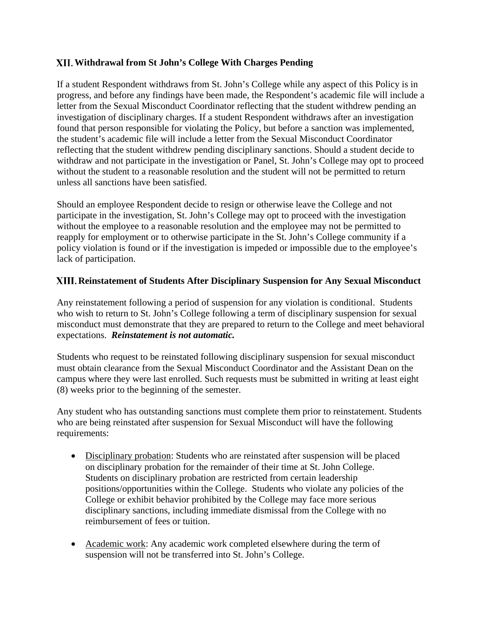## **Withdrawal from St John's College With Charges Pending**

If a student Respondent withdraws from St. John's College while any aspect of this Policy is in progress, and before any findings have been made, the Respondent's academic file will include a letter from the Sexual Misconduct Coordinator reflecting that the student withdrew pending an investigation of disciplinary charges. If a student Respondent withdraws after an investigation found that person responsible for violating the Policy, but before a sanction was implemented, the student's academic file will include a letter from the Sexual Misconduct Coordinator reflecting that the student withdrew pending disciplinary sanctions. Should a student decide to withdraw and not participate in the investigation or Panel, St. John's College may opt to proceed without the student to a reasonable resolution and the student will not be permitted to return unless all sanctions have been satisfied.

Should an employee Respondent decide to resign or otherwise leave the College and not participate in the investigation, St. John's College may opt to proceed with the investigation without the employee to a reasonable resolution and the employee may not be permitted to reapply for employment or to otherwise participate in the St. John's College community if a policy violation is found or if the investigation is impeded or impossible due to the employee's lack of participation.

# **Reinstatement of Students After Disciplinary Suspension for Any Sexual Misconduct**

Any reinstatement following a period of suspension for any violation is conditional. Students who wish to return to St. John's College following a term of disciplinary suspension for sexual misconduct must demonstrate that they are prepared to return to the College and meet behavioral expectations. *Reinstatement is not automatic.*

Students who request to be reinstated following disciplinary suspension for sexual misconduct must obtain clearance from the Sexual Misconduct Coordinator and the Assistant Dean on the campus where they were last enrolled. Such requests must be submitted in writing at least eight (8) weeks prior to the beginning of the semester.

Any student who has outstanding sanctions must complete them prior to reinstatement. Students who are being reinstated after suspension for Sexual Misconduct will have the following requirements:

- Disciplinary probation: Students who are reinstated after suspension will be placed on disciplinary probation for the remainder of their time at St. John College. Students on disciplinary probation are restricted from certain leadership positions/opportunities within the College. Students who violate any policies of the College or exhibit behavior prohibited by the College may face more serious disciplinary sanctions, including immediate dismissal from the College with no reimbursement of fees or tuition.
- Academic work: Any academic work completed elsewhere during the term of suspension will not be transferred into St. John's College.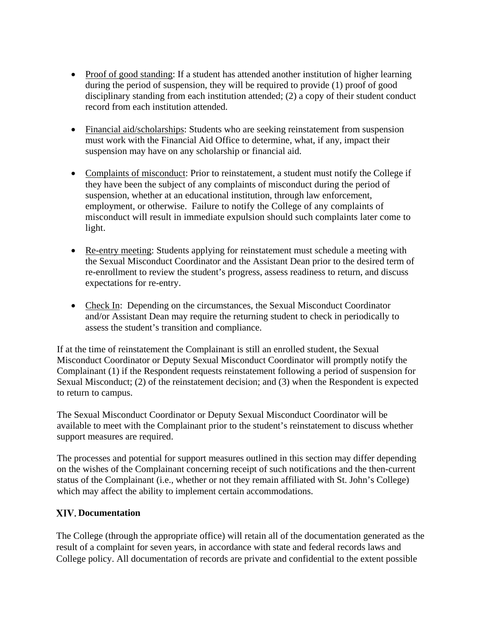- Proof of good standing: If a student has attended another institution of higher learning during the period of suspension, they will be required to provide (1) proof of good disciplinary standing from each institution attended; (2) a copy of their student conduct record from each institution attended.
- Financial aid/scholarships: Students who are seeking reinstatement from suspension must work with the Financial Aid Office to determine, what, if any, impact their suspension may have on any scholarship or financial aid.
- Complaints of misconduct: Prior to reinstatement, a student must notify the College if they have been the subject of any complaints of misconduct during the period of suspension, whether at an educational institution, through law enforcement, employment, or otherwise. Failure to notify the College of any complaints of misconduct will result in immediate expulsion should such complaints later come to light.
- Re-entry meeting: Students applying for reinstatement must schedule a meeting with the Sexual Misconduct Coordinator and the Assistant Dean prior to the desired term of re-enrollment to review the student's progress, assess readiness to return, and discuss expectations for re-entry.
- Check In: Depending on the circumstances, the Sexual Misconduct Coordinator and/or Assistant Dean may require the returning student to check in periodically to assess the student's transition and compliance.

If at the time of reinstatement the Complainant is still an enrolled student, the Sexual Misconduct Coordinator or Deputy Sexual Misconduct Coordinator will promptly notify the Complainant (1) if the Respondent requests reinstatement following a period of suspension for Sexual Misconduct; (2) of the reinstatement decision; and (3) when the Respondent is expected to return to campus.

The Sexual Misconduct Coordinator or Deputy Sexual Misconduct Coordinator will be available to meet with the Complainant prior to the student's reinstatement to discuss whether support measures are required.

The processes and potential for support measures outlined in this section may differ depending on the wishes of the Complainant concerning receipt of such notifications and the then-current status of the Complainant (i.e., whether or not they remain affiliated with St. John's College) which may affect the ability to implement certain accommodations.

# **Documentation**

The College (through the appropriate office) will retain all of the documentation generated as the result of a complaint for seven years, in accordance with state and federal records laws and College policy. All documentation of records are private and confidential to the extent possible